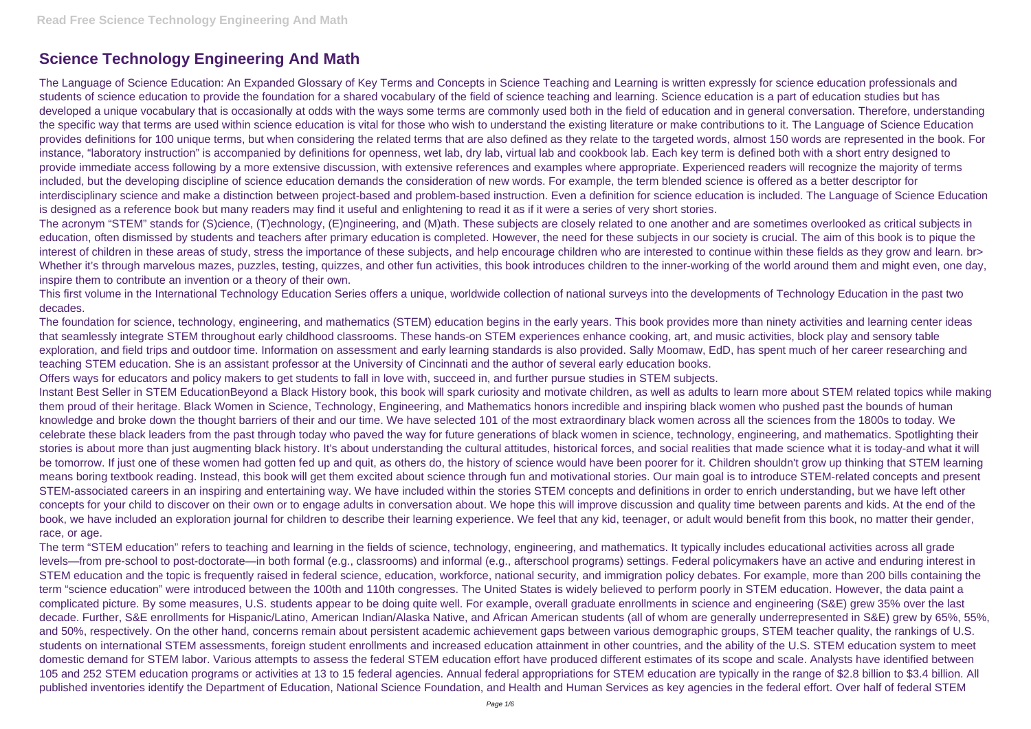## **Science Technology Engineering And Math**

The Language of Science Education: An Expanded Glossary of Key Terms and Concepts in Science Teaching and Learning is written expressly for science education professionals and students of science education to provide the foundation for a shared vocabulary of the field of science teaching and learning. Science education is a part of education studies but has developed a unique vocabulary that is occasionally at odds with the ways some terms are commonly used both in the field of education and in general conversation. Therefore, understanding the specific way that terms are used within science education is vital for those who wish to understand the existing literature or make contributions to it. The Language of Science Education provides definitions for 100 unique terms, but when considering the related terms that are also defined as they relate to the targeted words, almost 150 words are represented in the book. For instance, "laboratory instruction" is accompanied by definitions for openness, wet lab, dry lab, virtual lab and cookbook lab. Each key term is defined both with a short entry designed to provide immediate access following by a more extensive discussion, with extensive references and examples where appropriate. Experienced readers will recognize the majority of terms included, but the developing discipline of science education demands the consideration of new words. For example, the term blended science is offered as a better descriptor for interdisciplinary science and make a distinction between project-based and problem-based instruction. Even a definition for science education is included. The Language of Science Education is designed as a reference book but many readers may find it useful and enlightening to read it as if it were a series of very short stories.

The acronym "STEM" stands for (S)cience, (T)echnology, (E)ngineering, and (M)ath. These subjects are closely related to one another and are sometimes overlooked as critical subjects in education, often dismissed by students and teachers after primary education is completed. However, the need for these subjects in our society is crucial. The aim of this book is to pique the interest of children in these areas of study, stress the importance of these subjects, and help encourage children who are interested to continue within these fields as they grow and learn. br> Whether it's through marvelous mazes, puzzles, testing, quizzes, and other fun activities, this book introduces children to the inner-working of the world around them and might even, one day, inspire them to contribute an invention or a theory of their own.

This first volume in the International Technology Education Series offers a unique, worldwide collection of national surveys into the developments of Technology Education in the past two decades.

The foundation for science, technology, engineering, and mathematics (STEM) education begins in the early years. This book provides more than ninety activities and learning center ideas that seamlessly integrate STEM throughout early childhood classrooms. These hands-on STEM experiences enhance cooking, art, and music activities, block play and sensory table exploration, and field trips and outdoor time. Information on assessment and early learning standards is also provided. Sally Moomaw, EdD, has spent much of her career researching and teaching STEM education. She is an assistant professor at the University of Cincinnati and the author of several early education books.

Offers ways for educators and policy makers to get students to fall in love with, succeed in, and further pursue studies in STEM subjects.

Instant Best Seller in STEM EducationBeyond a Black History book, this book will spark curiosity and motivate children, as well as adults to learn more about STEM related topics while making them proud of their heritage. Black Women in Science, Technology, Engineering, and Mathematics honors incredible and inspiring black women who pushed past the bounds of human knowledge and broke down the thought barriers of their and our time. We have selected 101 of the most extraordinary black women across all the sciences from the 1800s to today. We celebrate these black leaders from the past through today who paved the way for future generations of black women in science, technology, engineering, and mathematics. Spotlighting their stories is about more than just augmenting black history. It's about understanding the cultural attitudes, historical forces, and social realities that made science what it is today-and what it will be tomorrow. If just one of these women had gotten fed up and quit, as others do, the history of science would have been poorer for it. Children shouldn't grow up thinking that STEM learning means boring textbook reading. Instead, this book will get them excited about science through fun and motivational stories. Our main goal is to introduce STEM-related concepts and present STEM-associated careers in an inspiring and entertaining way. We have included within the stories STEM concepts and definitions in order to enrich understanding, but we have left other concepts for your child to discover on their own or to engage adults in conversation about. We hope this will improve discussion and quality time between parents and kids. At the end of the book, we have included an exploration journal for children to describe their learning experience. We feel that any kid, teenager, or adult would benefit from this book, no matter their gender, race, or age.

The term "STEM education" refers to teaching and learning in the fields of science, technology, engineering, and mathematics. It typically includes educational activities across all grade levels—from pre-school to post-doctorate—in both formal (e.g., classrooms) and informal (e.g., afterschool programs) settings. Federal policymakers have an active and enduring interest in STEM education and the topic is frequently raised in federal science, education, workforce, national security, and immigration policy debates. For example, more than 200 bills containing the term "science education" were introduced between the 100th and 110th congresses. The United States is widely believed to perform poorly in STEM education. However, the data paint a complicated picture. By some measures, U.S. students appear to be doing quite well. For example, overall graduate enrollments in science and engineering (S&E) grew 35% over the last decade. Further, S&E enrollments for Hispanic/Latino, American Indian/Alaska Native, and African American students (all of whom are generally underrepresented in S&E) grew by 65%, 55%, and 50%, respectively. On the other hand, concerns remain about persistent academic achievement gaps between various demographic groups, STEM teacher quality, the rankings of U.S. students on international STEM assessments, foreign student enrollments and increased education attainment in other countries, and the ability of the U.S. STEM education system to meet domestic demand for STEM labor. Various attempts to assess the federal STEM education effort have produced different estimates of its scope and scale. Analysts have identified between 105 and 252 STEM education programs or activities at 13 to 15 federal agencies. Annual federal appropriations for STEM education are typically in the range of \$2.8 billion to \$3.4 billion. All published inventories identify the Department of Education, National Science Foundation, and Health and Human Services as key agencies in the federal effort. Over half of federal STEM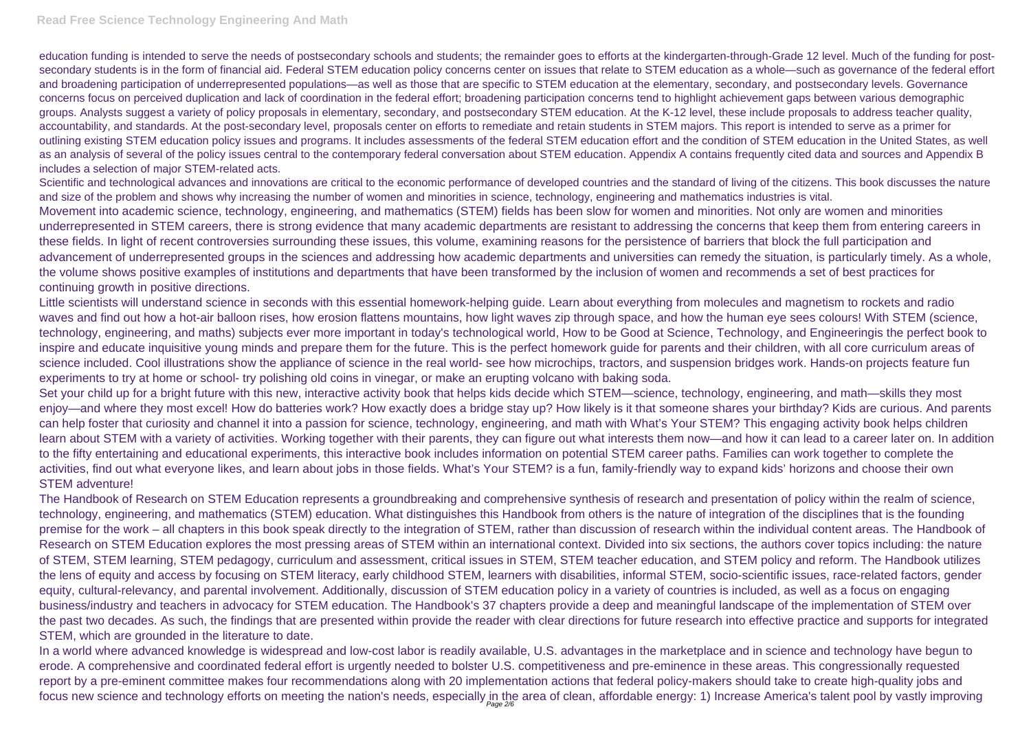education funding is intended to serve the needs of postsecondary schools and students; the remainder goes to efforts at the kindergarten-through-Grade 12 level. Much of the funding for postsecondary students is in the form of financial aid. Federal STEM education policy concerns center on issues that relate to STEM education as a whole—such as governance of the federal effort and broadening participation of underrepresented populations—as well as those that are specific to STEM education at the elementary, secondary, and postsecondary levels. Governance concerns focus on perceived duplication and lack of coordination in the federal effort; broadening participation concerns tend to highlight achievement gaps between various demographic groups. Analysts suggest a variety of policy proposals in elementary, secondary, and postsecondary STEM education. At the K-12 level, these include proposals to address teacher quality, accountability, and standards. At the post-secondary level, proposals center on efforts to remediate and retain students in STEM majors. This report is intended to serve as a primer for outlining existing STEM education policy issues and programs. It includes assessments of the federal STEM education effort and the condition of STEM education in the United States, as well as an analysis of several of the policy issues central to the contemporary federal conversation about STEM education. Appendix A contains frequently cited data and sources and Appendix B includes a selection of major STEM-related acts.

Scientific and technological advances and innovations are critical to the economic performance of developed countries and the standard of living of the citizens. This book discusses the nature and size of the problem and shows why increasing the number of women and minorities in science, technology, engineering and mathematics industries is vital. Movement into academic science, technology, engineering, and mathematics (STEM) fields has been slow for women and minorities. Not only are women and minorities underrepresented in STEM careers, there is strong evidence that many academic departments are resistant to addressing the concerns that keep them from entering careers in these fields. In light of recent controversies surrounding these issues, this volume, examining reasons for the persistence of barriers that block the full participation and advancement of underrepresented groups in the sciences and addressing how academic departments and universities can remedy the situation, is particularly timely. As a whole, the volume shows positive examples of institutions and departments that have been transformed by the inclusion of women and recommends a set of best practices for continuing growth in positive directions.

Set your child up for a bright future with this new, interactive activity book that helps kids decide which STEM—science, technology, engineering, and math—skills they most enjoy—and where they most excel! How do batteries work? How exactly does a bridge stay up? How likely is it that someone shares your birthday? Kids are curious. And parents can help foster that curiosity and channel it into a passion for science, technology, engineering, and math with What's Your STEM? This engaging activity book helps children learn about STEM with a variety of activities. Working together with their parents, they can figure out what interests them now—and how it can lead to a career later on. In addition to the fifty entertaining and educational experiments, this interactive book includes information on potential STEM career paths. Families can work together to complete the activities, find out what everyone likes, and learn about jobs in those fields. What's Your STEM? is a fun, family-friendly way to expand kids' horizons and choose their own STEM adventure!

Little scientists will understand science in seconds with this essential homework-helping guide. Learn about everything from molecules and magnetism to rockets and radio waves and find out how a hot-air balloon rises, how erosion flattens mountains, how light waves zip through space, and how the human eye sees colours! With STEM (science, technology, engineering, and maths) subjects ever more important in today's technological world, How to be Good at Science, Technology, and Engineeringis the perfect book to inspire and educate inquisitive young minds and prepare them for the future. This is the perfect homework guide for parents and their children, with all core curriculum areas of science included. Cool illustrations show the appliance of science in the real world- see how microchips, tractors, and suspension bridges work. Hands-on projects feature fun experiments to try at home or school- try polishing old coins in vinegar, or make an erupting volcano with baking soda.

The Handbook of Research on STEM Education represents a groundbreaking and comprehensive synthesis of research and presentation of policy within the realm of science, technology, engineering, and mathematics (STEM) education. What distinguishes this Handbook from others is the nature of integration of the disciplines that is the founding premise for the work – all chapters in this book speak directly to the integration of STEM, rather than discussion of research within the individual content areas. The Handbook of Research on STEM Education explores the most pressing areas of STEM within an international context. Divided into six sections, the authors cover topics including: the nature of STEM, STEM learning, STEM pedagogy, curriculum and assessment, critical issues in STEM, STEM teacher education, and STEM policy and reform. The Handbook utilizes the lens of equity and access by focusing on STEM literacy, early childhood STEM, learners with disabilities, informal STEM, socio-scientific issues, race-related factors, gender equity, cultural-relevancy, and parental involvement. Additionally, discussion of STEM education policy in a variety of countries is included, as well as a focus on engaging business/industry and teachers in advocacy for STEM education. The Handbook's 37 chapters provide a deep and meaningful landscape of the implementation of STEM over the past two decades. As such, the findings that are presented within provide the reader with clear directions for future research into effective practice and supports for integrated STEM, which are grounded in the literature to date.

In a world where advanced knowledge is widespread and low-cost labor is readily available, U.S. advantages in the marketplace and in science and technology have begun to erode. A comprehensive and coordinated federal effort is urgently needed to bolster U.S. competitiveness and pre-eminence in these areas. This congressionally requested report by a pre-eminent committee makes four recommendations along with 20 implementation actions that federal policy-makers should take to create high-quality jobs and focus new science and technology efforts on meeting the nation's needs, especially in the area of clean, affordable energy: 1) Increase America's talent pool by vastly improving Page 2/6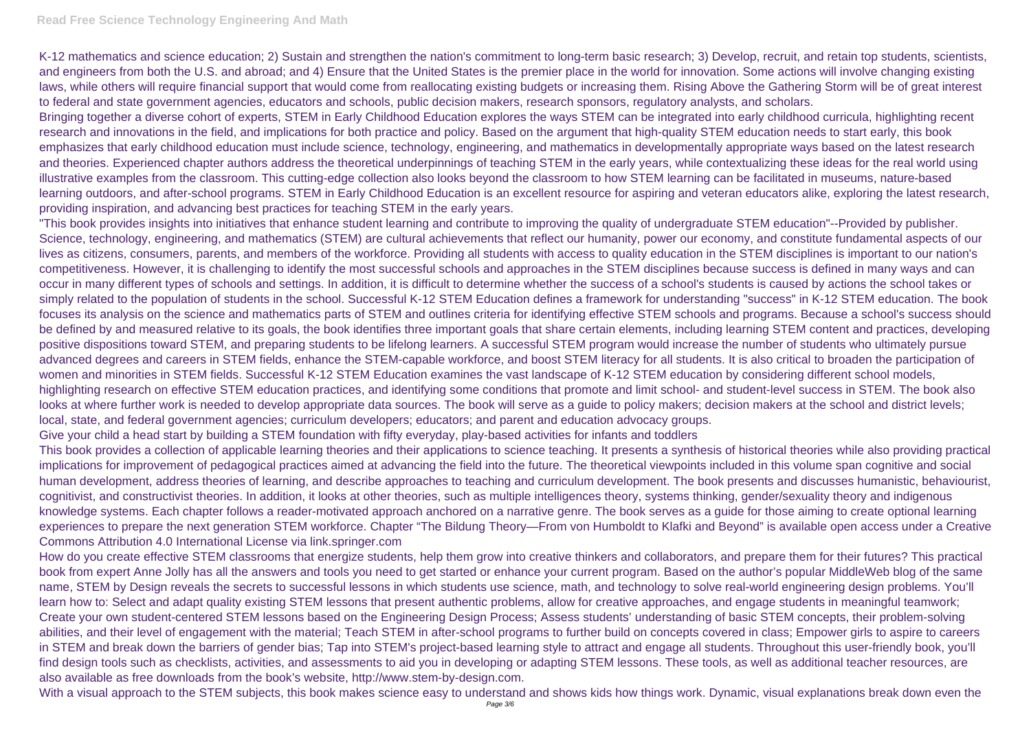## **Read Free Science Technology Engineering And Math**

K-12 mathematics and science education; 2) Sustain and strengthen the nation's commitment to long-term basic research; 3) Develop, recruit, and retain top students, scientists, and engineers from both the U.S. and abroad; and 4) Ensure that the United States is the premier place in the world for innovation. Some actions will involve changing existing laws, while others will require financial support that would come from reallocating existing budgets or increasing them. Rising Above the Gathering Storm will be of great interest to federal and state government agencies, educators and schools, public decision makers, research sponsors, regulatory analysts, and scholars. Bringing together a diverse cohort of experts, STEM in Early Childhood Education explores the ways STEM can be integrated into early childhood curricula, highlighting recent research and innovations in the field, and implications for both practice and policy. Based on the argument that high-quality STEM education needs to start early, this book emphasizes that early childhood education must include science, technology, engineering, and mathematics in developmentally appropriate ways based on the latest research and theories. Experienced chapter authors address the theoretical underpinnings of teaching STEM in the early years, while contextualizing these ideas for the real world using illustrative examples from the classroom. This cutting-edge collection also looks beyond the classroom to how STEM learning can be facilitated in museums, nature-based learning outdoors, and after-school programs. STEM in Early Childhood Education is an excellent resource for aspiring and veteran educators alike, exploring the latest research, providing inspiration, and advancing best practices for teaching STEM in the early years.

"This book provides insights into initiatives that enhance student learning and contribute to improving the quality of undergraduate STEM education"--Provided by publisher. Science, technology, engineering, and mathematics (STEM) are cultural achievements that reflect our humanity, power our economy, and constitute fundamental aspects of our lives as citizens, consumers, parents, and members of the workforce. Providing all students with access to quality education in the STEM disciplines is important to our nation's competitiveness. However, it is challenging to identify the most successful schools and approaches in the STEM disciplines because success is defined in many ways and can occur in many different types of schools and settings. In addition, it is difficult to determine whether the success of a school's students is caused by actions the school takes or simply related to the population of students in the school. Successful K-12 STEM Education defines a framework for understanding "success" in K-12 STEM education. The book focuses its analysis on the science and mathematics parts of STEM and outlines criteria for identifying effective STEM schools and programs. Because a school's success should be defined by and measured relative to its goals, the book identifies three important goals that share certain elements, including learning STEM content and practices, developing positive dispositions toward STEM, and preparing students to be lifelong learners. A successful STEM program would increase the number of students who ultimately pursue advanced degrees and careers in STEM fields, enhance the STEM-capable workforce, and boost STEM literacy for all students. It is also critical to broaden the participation of women and minorities in STEM fields. Successful K-12 STEM Education examines the vast landscape of K-12 STEM education by considering different school models, highlighting research on effective STEM education practices, and identifying some conditions that promote and limit school- and student-level success in STEM. The book also looks at where further work is needed to develop appropriate data sources. The book will serve as a guide to policy makers; decision makers at the school and district levels; local, state, and federal government agencies; curriculum developers; educators; and parent and education advocacy groups.

Give your child a head start by building a STEM foundation with fifty everyday, play-based activities for infants and toddlers

This book provides a collection of applicable learning theories and their applications to science teaching. It presents a synthesis of historical theories while also providing practical implications for improvement of pedagogical practices aimed at advancing the field into the future. The theoretical viewpoints included in this volume span cognitive and social human development, address theories of learning, and describe approaches to teaching and curriculum development. The book presents and discusses humanistic, behaviourist, cognitivist, and constructivist theories. In addition, it looks at other theories, such as multiple intelligences theory, systems thinking, gender/sexuality theory and indigenous knowledge systems. Each chapter follows a reader-motivated approach anchored on a narrative genre. The book serves as a guide for those aiming to create optional learning experiences to prepare the next generation STEM workforce. Chapter "The Bildung Theory—From von Humboldt to Klafki and Beyond" is available open access under a Creative Commons Attribution 4.0 International License via link.springer.com

How do you create effective STEM classrooms that energize students, help them grow into creative thinkers and collaborators, and prepare them for their futures? This practical book from expert Anne Jolly has all the answers and tools you need to get started or enhance your current program. Based on the author's popular MiddleWeb blog of the same name, STEM by Design reveals the secrets to successful lessons in which students use science, math, and technology to solve real-world engineering design problems. You'll learn how to: Select and adapt quality existing STEM lessons that present authentic problems, allow for creative approaches, and engage students in meaningful teamwork; Create your own student-centered STEM lessons based on the Engineering Design Process; Assess students' understanding of basic STEM concepts, their problem-solving abilities, and their level of engagement with the material; Teach STEM in after-school programs to further build on concepts covered in class; Empower girls to aspire to careers in STEM and break down the barriers of gender bias; Tap into STEM's project-based learning style to attract and engage all students. Throughout this user-friendly book, you'll find design tools such as checklists, activities, and assessments to aid you in developing or adapting STEM lessons. These tools, as well as additional teacher resources, are also available as free downloads from the book's website, http://www.stem-by-design.com.

With a visual approach to the STEM subjects, this book makes science easy to understand and shows kids how things work. Dynamic, visual explanations break down even the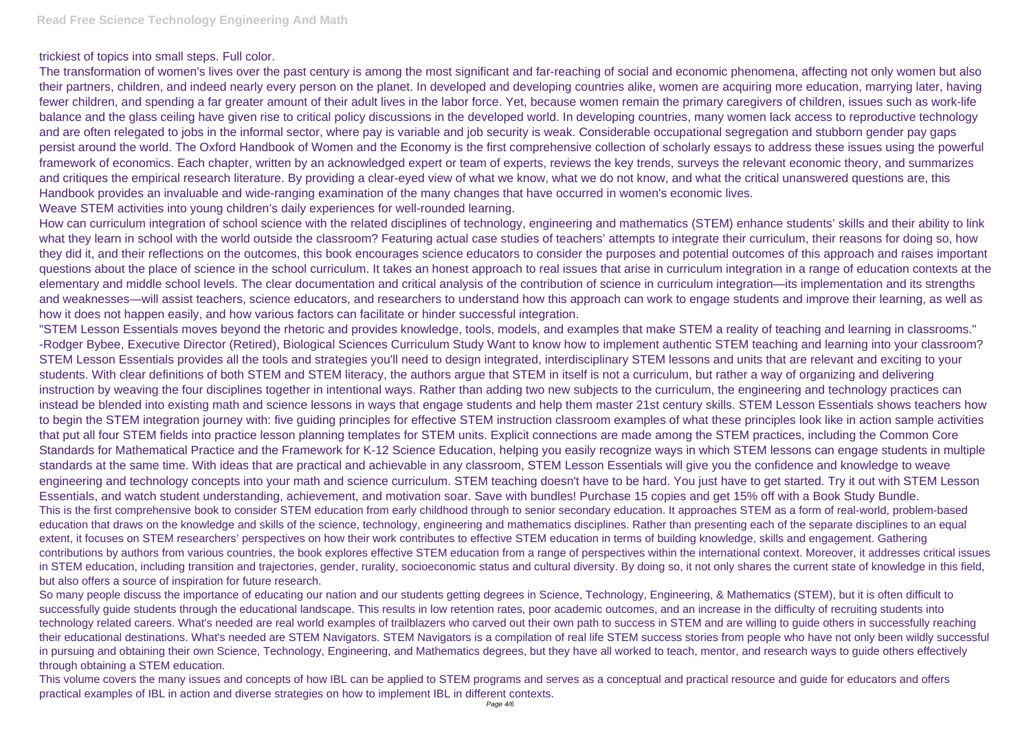## trickiest of topics into small steps. Full color.

The transformation of women's lives over the past century is among the most significant and far-reaching of social and economic phenomena, affecting not only women but also their partners, children, and indeed nearly every person on the planet. In developed and developing countries alike, women are acquiring more education, marrying later, having fewer children, and spending a far greater amount of their adult lives in the labor force. Yet, because women remain the primary caregivers of children, issues such as work-life balance and the glass ceiling have given rise to critical policy discussions in the developed world. In developing countries, many women lack access to reproductive technology and are often relegated to jobs in the informal sector, where pay is variable and job security is weak. Considerable occupational segregation and stubborn gender pay gaps persist around the world. The Oxford Handbook of Women and the Economy is the first comprehensive collection of scholarly essays to address these issues using the powerful framework of economics. Each chapter, written by an acknowledged expert or team of experts, reviews the key trends, surveys the relevant economic theory, and summarizes and critiques the empirical research literature. By providing a clear-eyed view of what we know, what we do not know, and what the critical unanswered questions are, this Handbook provides an invaluable and wide-ranging examination of the many changes that have occurred in women's economic lives. Weave STEM activities into young children's daily experiences for well-rounded learning.

How can curriculum integration of school science with the related disciplines of technology, engineering and mathematics (STEM) enhance students' skills and their ability to link what they learn in school with the world outside the classroom? Featuring actual case studies of teachers' attempts to integrate their curriculum, their reasons for doing so, how they did it, and their reflections on the outcomes, this book encourages science educators to consider the purposes and potential outcomes of this approach and raises important questions about the place of science in the school curriculum. It takes an honest approach to real issues that arise in curriculum integration in a range of education contexts at the elementary and middle school levels. The clear documentation and critical analysis of the contribution of science in curriculum integration—its implementation and its strengths and weaknesses—will assist teachers, science educators, and researchers to understand how this approach can work to engage students and improve their learning, as well as how it does not happen easily, and how various factors can facilitate or hinder successful integration.

"STEM Lesson Essentials moves beyond the rhetoric and provides knowledge, tools, models, and examples that make STEM a reality of teaching and learning in classrooms." -Rodger Bybee, Executive Director (Retired), Biological Sciences Curriculum Study Want to know how to implement authentic STEM teaching and learning into your classroom? STEM Lesson Essentials provides all the tools and strategies you'll need to design integrated, interdisciplinary STEM lessons and units that are relevant and exciting to your students. With clear definitions of both STEM and STEM literacy, the authors argue that STEM in itself is not a curriculum, but rather a way of organizing and delivering instruction by weaving the four disciplines together in intentional ways. Rather than adding two new subjects to the curriculum, the engineering and technology practices can instead be blended into existing math and science lessons in ways that engage students and help them master 21st century skills. STEM Lesson Essentials shows teachers how to begin the STEM integration journey with: five guiding principles for effective STEM instruction classroom examples of what these principles look like in action sample activities that put all four STEM fields into practice lesson planning templates for STEM units. Explicit connections are made among the STEM practices, including the Common Core Standards for Mathematical Practice and the Framework for K-12 Science Education, helping you easily recognize ways in which STEM lessons can engage students in multiple standards at the same time. With ideas that are practical and achievable in any classroom, STEM Lesson Essentials will give you the confidence and knowledge to weave engineering and technology concepts into your math and science curriculum. STEM teaching doesn't have to be hard. You just have to get started. Try it out with STEM Lesson Essentials, and watch student understanding, achievement, and motivation soar. Save with bundles! Purchase 15 copies and get 15% off with a Book Study Bundle. This is the first comprehensive book to consider STEM education from early childhood through to senior secondary education. It approaches STEM as a form of real-world, problem-based education that draws on the knowledge and skills of the science, technology, engineering and mathematics disciplines. Rather than presenting each of the separate disciplines to an equal extent, it focuses on STEM researchers' perspectives on how their work contributes to effective STEM education in terms of building knowledge, skills and engagement. Gathering contributions by authors from various countries, the book explores effective STEM education from a range of perspectives within the international context. Moreover, it addresses critical issues in STEM education, including transition and trajectories, gender, rurality, socioeconomic status and cultural diversity. By doing so, it not only shares the current state of knowledge in this field, but also offers a source of inspiration for future research.

So many people discuss the importance of educating our nation and our students getting degrees in Science, Technology, Engineering, & Mathematics (STEM), but it is often difficult to successfully guide students through the educational landscape. This results in low retention rates, poor academic outcomes, and an increase in the difficulty of recruiting students into technology related careers. What's needed are real world examples of trailblazers who carved out their own path to success in STEM and are willing to guide others in successfully reaching their educational destinations. What's needed are STEM Navigators. STEM Navigators is a compilation of real life STEM success stories from people who have not only been wildly successful in pursuing and obtaining their own Science, Technology, Engineering, and Mathematics degrees, but they have all worked to teach, mentor, and research ways to guide others effectively through obtaining a STEM education.

This volume covers the many issues and concepts of how IBL can be applied to STEM programs and serves as a conceptual and practical resource and guide for educators and offers practical examples of IBL in action and diverse strategies on how to implement IBL in different contexts.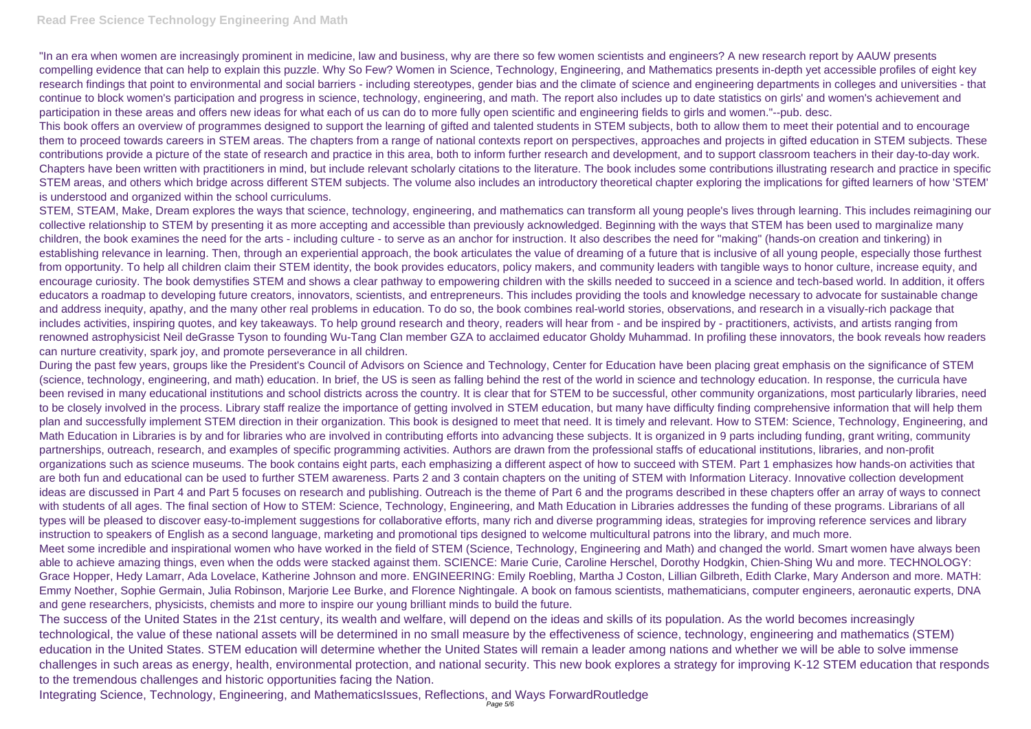"In an era when women are increasingly prominent in medicine, law and business, why are there so few women scientists and engineers? A new research report by AAUW presents compelling evidence that can help to explain this puzzle. Why So Few? Women in Science, Technology, Engineering, and Mathematics presents in-depth yet accessible profiles of eight key research findings that point to environmental and social barriers - including stereotypes, gender bias and the climate of science and engineering departments in colleges and universities - that continue to block women's participation and progress in science, technology, engineering, and math. The report also includes up to date statistics on girls' and women's achievement and participation in these areas and offers new ideas for what each of us can do to more fully open scientific and engineering fields to girls and women."--pub. desc. This book offers an overview of programmes designed to support the learning of gifted and talented students in STEM subjects, both to allow them to meet their potential and to encourage them to proceed towards careers in STEM areas. The chapters from a range of national contexts report on perspectives, approaches and projects in gifted education in STEM subjects. These contributions provide a picture of the state of research and practice in this area, both to inform further research and development, and to support classroom teachers in their day-to-day work. Chapters have been written with practitioners in mind, but include relevant scholarly citations to the literature. The book includes some contributions illustrating research and practice in specific STEM areas, and others which bridge across different STEM subjects. The volume also includes an introductory theoretical chapter exploring the implications for gifted learners of how 'STEM' is understood and organized within the school curriculums.

STEM, STEAM, Make, Dream explores the ways that science, technology, engineering, and mathematics can transform all young people's lives through learning. This includes reimagining our collective relationship to STEM by presenting it as more accepting and accessible than previously acknowledged. Beginning with the ways that STEM has been used to marginalize many children, the book examines the need for the arts - including culture - to serve as an anchor for instruction. It also describes the need for "making" (hands-on creation and tinkering) in establishing relevance in learning. Then, through an experiential approach, the book articulates the value of dreaming of a future that is inclusive of all young people, especially those furthest from opportunity. To help all children claim their STEM identity, the book provides educators, policy makers, and community leaders with tangible ways to honor culture, increase equity, and encourage curiosity. The book demystifies STEM and shows a clear pathway to empowering children with the skills needed to succeed in a science and tech-based world. In addition, it offers educators a roadmap to developing future creators, innovators, scientists, and entrepreneurs. This includes providing the tools and knowledge necessary to advocate for sustainable change and address inequity, apathy, and the many other real problems in education. To do so, the book combines real-world stories, observations, and research in a visually-rich package that includes activities, inspiring quotes, and key takeaways. To help ground research and theory, readers will hear from - and be inspired by - practitioners, activists, and artists ranging from renowned astrophysicist Neil deGrasse Tyson to founding Wu-Tang Clan member GZA to acclaimed educator Gholdy Muhammad. In profiling these innovators, the book reveals how readers can nurture creativity, spark joy, and promote perseverance in all children.

During the past few years, groups like the President's Council of Advisors on Science and Technology, Center for Education have been placing great emphasis on the significance of STEM (science, technology, engineering, and math) education. In brief, the US is seen as falling behind the rest of the world in science and technology education. In response, the curricula have been revised in many educational institutions and school districts across the country. It is clear that for STEM to be successful, other community organizations, most particularly libraries, need to be closely involved in the process. Library staff realize the importance of getting involved in STEM education, but many have difficulty finding comprehensive information that will help them plan and successfully implement STEM direction in their organization. This book is designed to meet that need. It is timely and relevant. How to STEM: Science, Technology, Engineering, and Math Education in Libraries is by and for libraries who are involved in contributing efforts into advancing these subjects. It is organized in 9 parts including funding, grant writing, community partnerships, outreach, research, and examples of specific programming activities. Authors are drawn from the professional staffs of educational institutions, libraries, and non-profit organizations such as science museums. The book contains eight parts, each emphasizing a different aspect of how to succeed with STEM. Part 1 emphasizes how hands-on activities that are both fun and educational can be used to further STEM awareness. Parts 2 and 3 contain chapters on the uniting of STEM with Information Literacy. Innovative collection development ideas are discussed in Part 4 and Part 5 focuses on research and publishing. Outreach is the theme of Part 6 and the programs described in these chapters offer an array of ways to connect with students of all ages. The final section of How to STEM: Science, Technology, Engineering, and Math Education in Libraries addresses the funding of these programs. Librarians of all types will be pleased to discover easy-to-implement suggestions for collaborative efforts, many rich and diverse programming ideas, strategies for improving reference services and library instruction to speakers of English as a second language, marketing and promotional tips designed to welcome multicultural patrons into the library, and much more. Meet some incredible and inspirational women who have worked in the field of STEM (Science, Technology, Engineering and Math) and changed the world. Smart women have always been able to achieve amazing things, even when the odds were stacked against them. SCIENCE: Marie Curie, Caroline Herschel, Dorothy Hodgkin, Chien-Shing Wu and more. TECHNOLOGY: Grace Hopper, Hedy Lamarr, Ada Lovelace, Katherine Johnson and more. ENGINEERING: Emily Roebling, Martha J Coston, Lillian Gilbreth, Edith Clarke, Mary Anderson and more. MATH: Emmy Noether, Sophie Germain, Julia Robinson, Marjorie Lee Burke, and Florence Nightingale. A book on famous scientists, mathematicians, computer engineers, aeronautic experts, DNA and gene researchers, physicists, chemists and more to inspire our young brilliant minds to build the future.

The success of the United States in the 21st century, its wealth and welfare, will depend on the ideas and skills of its population. As the world becomes increasingly technological, the value of these national assets will be determined in no small measure by the effectiveness of science, technology, engineering and mathematics (STEM) education in the United States. STEM education will determine whether the United States will remain a leader among nations and whether we will be able to solve immense challenges in such areas as energy, health, environmental protection, and national security. This new book explores a strategy for improving K-12 STEM education that responds to the tremendous challenges and historic opportunities facing the Nation.

Integrating Science, Technology, Engineering, and MathematicsIssues, Reflections, and Ways ForwardRoutledge